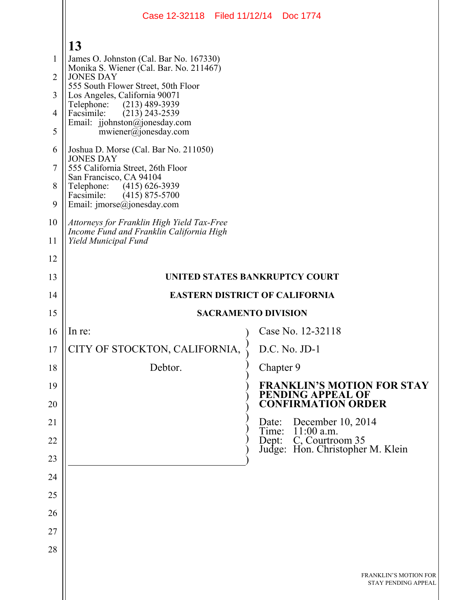|                | Case 12-32118 Filed 11/12/14 Doc 1774                                                  |                                                                                     |  |
|----------------|----------------------------------------------------------------------------------------|-------------------------------------------------------------------------------------|--|
|                | 13                                                                                     |                                                                                     |  |
| 1              | James O. Johnston (Cal. Bar No. 167330)                                                |                                                                                     |  |
| $\overline{2}$ | Monika S. Wiener (Cal. Bar. No. 211467)<br><b>JONES DAY</b>                            |                                                                                     |  |
| 3              | 555 South Flower Street, 50th Floor<br>Los Angeles, California 90071                   |                                                                                     |  |
| 4              | $(213)$ 489-3939<br>Telephone:<br>Facsimile:<br>$(213)$ 243-2539                       |                                                                                     |  |
| 5              | Email: jjohnston@jonesday.com<br>mwiener@jonesday.com                                  |                                                                                     |  |
| 6              | Joshua D. Morse (Cal. Bar No. 211050)<br><b>JONES DAY</b>                              |                                                                                     |  |
| 7              | 555 California Street, 26th Floor<br>San Francisco, CA 94104                           |                                                                                     |  |
| 8              | Telephone: (415) 626-3939<br>Facsimile:<br>$(415)$ 875-5700                            |                                                                                     |  |
| 9              | Email: $\text{imorse}(a)$ jonesday.com                                                 |                                                                                     |  |
| 10             | Attorneys for Franklin High Yield Tax-Free<br>Income Fund and Franklin California High |                                                                                     |  |
| 11             | Yield Municipal Fund                                                                   |                                                                                     |  |
| 12             |                                                                                        |                                                                                     |  |
| 13             |                                                                                        | UNITED STATES BANKRUPTCY COURT                                                      |  |
| 14             | <b>EASTERN DISTRICT OF CALIFORNIA</b>                                                  |                                                                                     |  |
| 15             |                                                                                        | <b>SACRAMENTO DIVISION</b>                                                          |  |
| 16             | In re:                                                                                 | Case No. 12-32118                                                                   |  |
| 17             | CITY OF STOCKTON, CALIFORNIA,                                                          | D.C. No. JD-1                                                                       |  |
| 18             | Debtor.                                                                                | Chapter 9                                                                           |  |
| 19<br>20       |                                                                                        | <b>FRANKLIN'S MOTION FOR STAY</b><br>PENDING APPEAL OF<br><b>CONFIRMATION ORDER</b> |  |
| 21             |                                                                                        | Date: December 10, 2014<br>Time: 11:00 a.m.                                         |  |
| 22             |                                                                                        | Dept: C, Courtroom 35<br>Judge: Hon. Christopher M. Klein                           |  |
| 23             |                                                                                        |                                                                                     |  |
| 24             |                                                                                        |                                                                                     |  |
| 25             |                                                                                        |                                                                                     |  |
| 26             |                                                                                        |                                                                                     |  |
| 27             |                                                                                        |                                                                                     |  |
| 28             |                                                                                        |                                                                                     |  |
|                |                                                                                        | <b>FRANKLIN'S MOTION FOR</b><br>STAY PENDING APPEAL                                 |  |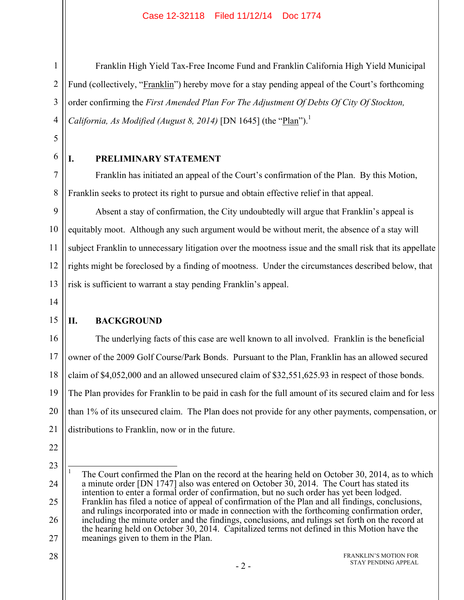Franklin High Yield Tax-Free Income Fund and Franklin California High Yield Municipal Fund (collectively, "Franklin") hereby move for a stay pending appeal of the Court's forthcoming order confirming the *First Amended Plan For The Adjustment Of Debts Of City Of Stockton, California, As Modified (August 8, 2014)* [DN 1645] (the " $Plan$ ").<sup>1</sup>

5 6

7

8

1

2

3

4

# **I. PRELIMINARY STATEMENT**

Franklin has initiated an appeal of the Court's confirmation of the Plan. By this Motion, Franklin seeks to protect its right to pursue and obtain effective relief in that appeal.

9 10 11 12 13 Absent a stay of confirmation, the City undoubtedly will argue that Franklin's appeal is equitably moot. Although any such argument would be without merit, the absence of a stay will subject Franklin to unnecessary litigation over the mootness issue and the small risk that its appellate rights might be foreclosed by a finding of mootness. Under the circumstances described below, that risk is sufficient to warrant a stay pending Franklin's appeal.

14

15

# **II. BACKGROUND**

16 17 18 19 20 21 The underlying facts of this case are well known to all involved. Franklin is the beneficial owner of the 2009 Golf Course/Park Bonds. Pursuant to the Plan, Franklin has an allowed secured claim of \$4,052,000 and an allowed unsecured claim of \$32,551,625.93 in respect of those bonds. The Plan provides for Franklin to be paid in cash for the full amount of its secured claim and for less than 1% of its unsecured claim. The Plan does not provide for any other payments, compensation, or distributions to Franklin, now or in the future.

- 22
- 23

 $\overline{a}$ 

28

#### FRANKLIN'S MOTION FOR STAY PENDING APPEAL

<sup>24</sup> 25 26 27 1 The Court confirmed the Plan on the record at the hearing held on October 30, 2014, as to which a minute order [DN 1747] also was entered on October 30, 2014. The Court has stated its intention to enter a formal order of confirmation, but no such order has yet been lodged. Franklin has filed a notice of appeal of confirmation of the Plan and all findings, conclusions, and rulings incorporated into or made in connection with the forthcoming confirmation order, including the minute order and the findings, conclusions, and rulings set forth on the record at the hearing held on October 30, 2014. Capitalized terms not defined in this Motion have the meanings given to them in the Plan.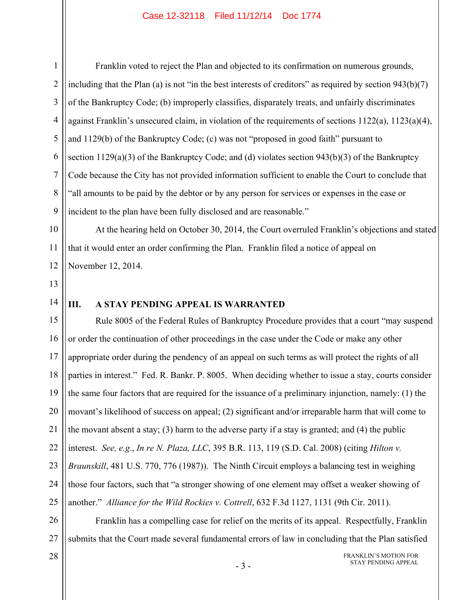1 2 3 4 5 6 7 8 9 Franklin voted to reject the Plan and objected to its confirmation on numerous grounds, including that the Plan (a) is not "in the best interests of creditors" as required by section 943(b)(7) of the Bankruptcy Code; (b) improperly classifies, disparately treats, and unfairly discriminates against Franklin's unsecured claim, in violation of the requirements of sections 1122(a), 1123(a)(4), and 1129(b) of the Bankruptcy Code; (c) was not "proposed in good faith" pursuant to section  $1129(a)(3)$  of the Bankruptcy Code; and (d) violates section  $943(b)(3)$  of the Bankruptcy Code because the City has not provided information sufficient to enable the Court to conclude that "all amounts to be paid by the debtor or by any person for services or expenses in the case or incident to the plan have been fully disclosed and are reasonable."

At the hearing held on October 30, 2014, the Court overruled Franklin's objections and stated that it would enter an order confirming the Plan. Franklin filed a notice of appeal on November 12, 2014.

13

14

# **III. A STAY PENDING APPEAL IS WARRANTED**

15 16 17 18 19 20 21 22 23 24 25 Rule 8005 of the Federal Rules of Bankruptcy Procedure provides that a court "may suspend or order the continuation of other proceedings in the case under the Code or make any other appropriate order during the pendency of an appeal on such terms as will protect the rights of all parties in interest." Fed. R. Bankr. P. 8005. When deciding whether to issue a stay, courts consider the same four factors that are required for the issuance of a preliminary injunction, namely: (1) the movant's likelihood of success on appeal; (2) significant and/or irreparable harm that will come to the movant absent a stay; (3) harm to the adverse party if a stay is granted; and (4) the public interest. *See, e.g.*, *In re N. Plaza, LLC*, 395 B.R. 113, 119 (S.D. Cal. 2008) (citing *Hilton v. Braunskill*, 481 U.S. 770, 776 (1987)). The Ninth Circuit employs a balancing test in weighing those four factors, such that "a stronger showing of one element may offset a weaker showing of another." *Alliance for the Wild Rockies v. Cottrell*, 632 F.3d 1127, 1131 (9th Cir. 2011).

26 27 Franklin has a compelling case for relief on the merits of its appeal. Respectfully, Franklin submits that the Court made several fundamental errors of law in concluding that the Plan satisfied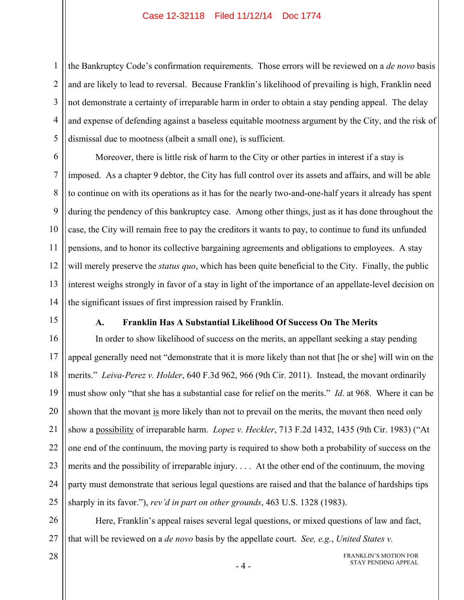1 2 3 4 5 the Bankruptcy Code's confirmation requirements. Those errors will be reviewed on a *de novo* basis and are likely to lead to reversal. Because Franklin's likelihood of prevailing is high, Franklin need not demonstrate a certainty of irreparable harm in order to obtain a stay pending appeal. The delay and expense of defending against a baseless equitable mootness argument by the City, and the risk of dismissal due to mootness (albeit a small one), is sufficient.

6 7 8 9 10 11 12 13 14 Moreover, there is little risk of harm to the City or other parties in interest if a stay is imposed. As a chapter 9 debtor, the City has full control over its assets and affairs, and will be able to continue on with its operations as it has for the nearly two-and-one-half years it already has spent during the pendency of this bankruptcy case. Among other things, just as it has done throughout the case, the City will remain free to pay the creditors it wants to pay, to continue to fund its unfunded pensions, and to honor its collective bargaining agreements and obligations to employees. A stay will merely preserve the *status quo*, which has been quite beneficial to the City. Finally, the public interest weighs strongly in favor of a stay in light of the importance of an appellate-level decision on the significant issues of first impression raised by Franklin.

15

### **A. Franklin Has A Substantial Likelihood Of Success On The Merits**

16 17 18 19 20 21 22 23 24 25 In order to show likelihood of success on the merits, an appellant seeking a stay pending appeal generally need not "demonstrate that it is more likely than not that [he or she] will win on the merits." *Leiva-Perez v. Holder*, 640 F.3d 962, 966 (9th Cir. 2011). Instead, the movant ordinarily must show only "that she has a substantial case for relief on the merits." *Id*. at 968. Where it can be shown that the movant is more likely than not to prevail on the merits, the movant then need only show a possibility of irreparable harm. *Lopez v. Heckler*, 713 F.2d 1432, 1435 (9th Cir. 1983) ("At one end of the continuum, the moving party is required to show both a probability of success on the merits and the possibility of irreparable injury. . . . At the other end of the continuum, the moving party must demonstrate that serious legal questions are raised and that the balance of hardships tips sharply in its favor."), *rev'd in part on other grounds*, 463 U.S. 1328 (1983).

26 27 Here, Franklin's appeal raises several legal questions, or mixed questions of law and fact, that will be reviewed on a *de novo* basis by the appellate court. *See, e.g.*, *United States v.*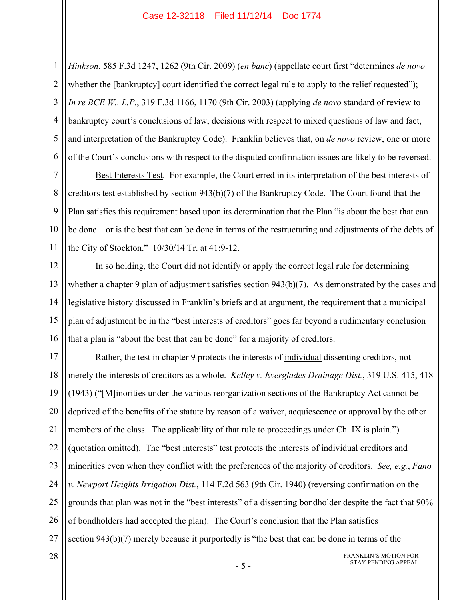2 3 4 5 6 *Hinkson*, 585 F.3d 1247, 1262 (9th Cir. 2009) (*en banc*) (appellate court first "determines *de novo* whether the [bankruptcy] court identified the correct legal rule to apply to the relief requested"); *In re BCE W., L.P.*, 319 F.3d 1166, 1170 (9th Cir. 2003) (applying *de novo* standard of review to bankruptcy court's conclusions of law, decisions with respect to mixed questions of law and fact, and interpretation of the Bankruptcy Code). Franklin believes that, on *de novo* review, one or more of the Court's conclusions with respect to the disputed confirmation issues are likely to be reversed.

7 8 9 10 11 Best Interests Test. For example, the Court erred in its interpretation of the best interests of creditors test established by section 943(b)(7) of the Bankruptcy Code. The Court found that the Plan satisfies this requirement based upon its determination that the Plan "is about the best that can be done – or is the best that can be done in terms of the restructuring and adjustments of the debts of the City of Stockton." 10/30/14 Tr. at 41:9-12.

12 13 14 15 16 In so holding, the Court did not identify or apply the correct legal rule for determining whether a chapter 9 plan of adjustment satisfies section 943(b)(7). As demonstrated by the cases and legislative history discussed in Franklin's briefs and at argument, the requirement that a municipal plan of adjustment be in the "best interests of creditors" goes far beyond a rudimentary conclusion that a plan is "about the best that can be done" for a majority of creditors.

17 18 19 20 21 22 23 24 25 26 27 Rather, the test in chapter 9 protects the interests of individual dissenting creditors, not merely the interests of creditors as a whole. *Kelley v. Everglades Drainage Dist.*, 319 U.S. 415, 418 (1943) ("[M]inorities under the various reorganization sections of the Bankruptcy Act cannot be deprived of the benefits of the statute by reason of a waiver, acquiescence or approval by the other members of the class. The applicability of that rule to proceedings under Ch. IX is plain.") (quotation omitted). The "best interests" test protects the interests of individual creditors and minorities even when they conflict with the preferences of the majority of creditors. *See, e.g.*, *Fano v. Newport Heights Irrigation Dist.*, 114 F.2d 563 (9th Cir. 1940) (reversing confirmation on the grounds that plan was not in the "best interests" of a dissenting bondholder despite the fact that 90% of bondholders had accepted the plan). The Court's conclusion that the Plan satisfies section 943(b)(7) merely because it purportedly is "the best that can be done in terms of the

28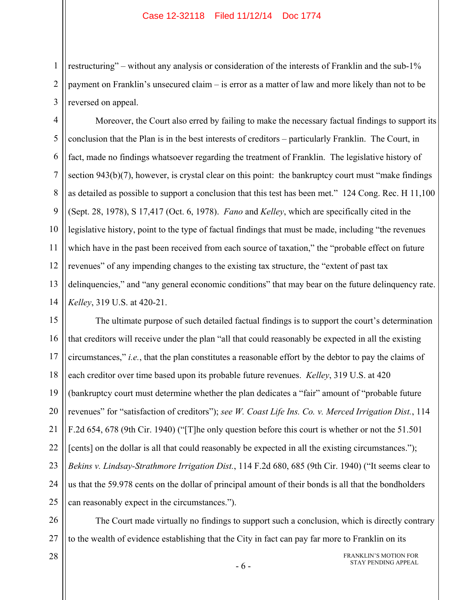restructuring" – without any analysis or consideration of the interests of Franklin and the sub-1% payment on Franklin's unsecured claim – is error as a matter of law and more likely than not to be reversed on appeal.

4 5 6 7 8 9 10 11 12 13 14 Moreover, the Court also erred by failing to make the necessary factual findings to support its conclusion that the Plan is in the best interests of creditors – particularly Franklin. The Court, in fact, made no findings whatsoever regarding the treatment of Franklin. The legislative history of section 943(b)(7), however, is crystal clear on this point: the bankruptcy court must "make findings" as detailed as possible to support a conclusion that this test has been met." 124 Cong. Rec. H 11,100 (Sept. 28, 1978), S 17,417 (Oct. 6, 1978). *Fano* and *Kelley*, which are specifically cited in the legislative history, point to the type of factual findings that must be made, including "the revenues which have in the past been received from each source of taxation," the "probable effect on future revenues" of any impending changes to the existing tax structure, the "extent of past tax delinquencies," and "any general economic conditions" that may bear on the future delinquency rate. *Kelley*, 319 U.S. at 420-21.

15 16 17 18 19 20 21 22 23 24 25 The ultimate purpose of such detailed factual findings is to support the court's determination that creditors will receive under the plan "all that could reasonably be expected in all the existing circumstances," *i.e.*, that the plan constitutes a reasonable effort by the debtor to pay the claims of each creditor over time based upon its probable future revenues. *Kelley*, 319 U.S. at 420 (bankruptcy court must determine whether the plan dedicates a "fair" amount of "probable future revenues" for "satisfaction of creditors"); *see W. Coast Life Ins. Co. v. Merced Irrigation Dist.*, 114 F.2d 654, 678 (9th Cir. 1940) ("[T]he only question before this court is whether or not the 51.501 [cents] on the dollar is all that could reasonably be expected in all the existing circumstances."); *Bekins v. Lindsay-Strathmore Irrigation Dist.*, 114 F.2d 680, 685 (9th Cir. 1940) ("It seems clear to us that the 59.978 cents on the dollar of principal amount of their bonds is all that the bondholders can reasonably expect in the circumstances.").

26 27 The Court made virtually no findings to support such a conclusion, which is directly contrary to the wealth of evidence establishing that the City in fact can pay far more to Franklin on its

1

2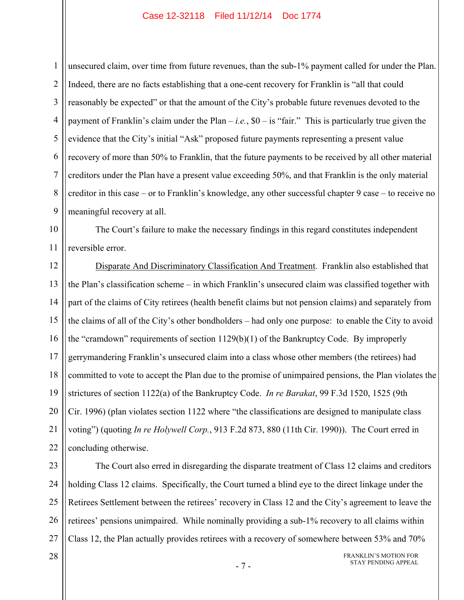1 2 3 4 5 6 7 8 9 unsecured claim, over time from future revenues, than the sub-1% payment called for under the Plan. Indeed, there are no facts establishing that a one-cent recovery for Franklin is "all that could reasonably be expected" or that the amount of the City's probable future revenues devoted to the payment of Franklin's claim under the Plan  $-i.e.,$  \$0 – is "fair." This is particularly true given the evidence that the City's initial "Ask" proposed future payments representing a present value recovery of more than 50% to Franklin, that the future payments to be received by all other material creditors under the Plan have a present value exceeding 50%, and that Franklin is the only material creditor in this case – or to Franklin's knowledge, any other successful chapter 9 case – to receive no meaningful recovery at all.

10 11 The Court's failure to make the necessary findings in this regard constitutes independent reversible error.

12 13 14 15 16 17 18 19 20 21 22 Disparate And Discriminatory Classification And Treatment. Franklin also established that the Plan's classification scheme – in which Franklin's unsecured claim was classified together with part of the claims of City retirees (health benefit claims but not pension claims) and separately from the claims of all of the City's other bondholders – had only one purpose: to enable the City to avoid the "cramdown" requirements of section 1129(b)(1) of the Bankruptcy Code. By improperly gerrymandering Franklin's unsecured claim into a class whose other members (the retirees) had committed to vote to accept the Plan due to the promise of unimpaired pensions, the Plan violates the strictures of section 1122(a) of the Bankruptcy Code. *In re Barakat*, 99 F.3d 1520, 1525 (9th Cir. 1996) (plan violates section 1122 where "the classifications are designed to manipulate class voting") (quoting *In re Holywell Corp.*, 913 F.2d 873, 880 (11th Cir. 1990)). The Court erred in concluding otherwise.

23 24 25 26 27 The Court also erred in disregarding the disparate treatment of Class 12 claims and creditors holding Class 12 claims. Specifically, the Court turned a blind eye to the direct linkage under the Retirees Settlement between the retirees' recovery in Class 12 and the City's agreement to leave the retirees' pensions unimpaired. While nominally providing a sub-1% recovery to all claims within Class 12, the Plan actually provides retirees with a recovery of somewhere between 53% and 70%

#### 28

FRANKLIN'S MOTION FOR STAY PENDING APPEAL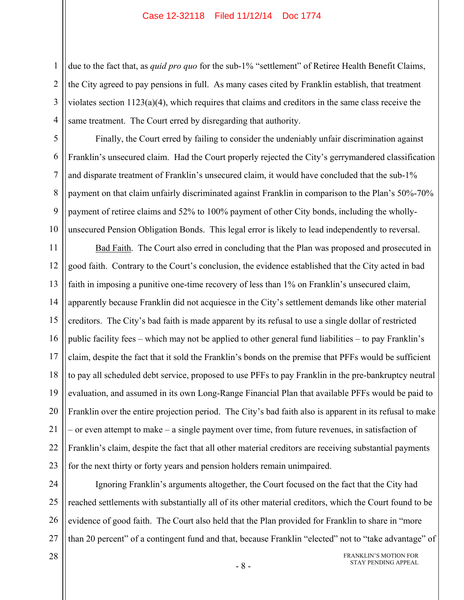due to the fact that, as *quid pro quo* for the sub-1% "settlement" of Retiree Health Benefit Claims, the City agreed to pay pensions in full. As many cases cited by Franklin establish, that treatment violates section  $1123(a)(4)$ , which requires that claims and creditors in the same class receive the same treatment. The Court erred by disregarding that authority.

Finally, the Court erred by failing to consider the undeniably unfair discrimination against Franklin's unsecured claim. Had the Court properly rejected the City's gerrymandered classification and disparate treatment of Franklin's unsecured claim, it would have concluded that the sub-1% payment on that claim unfairly discriminated against Franklin in comparison to the Plan's 50%-70% payment of retiree claims and 52% to 100% payment of other City bonds, including the whollyunsecured Pension Obligation Bonds. This legal error is likely to lead independently to reversal.

11 12 13 14 15 16 17 18 19 20 21 22 23 Bad Faith. The Court also erred in concluding that the Plan was proposed and prosecuted in good faith. Contrary to the Court's conclusion, the evidence established that the City acted in bad faith in imposing a punitive one-time recovery of less than 1% on Franklin's unsecured claim, apparently because Franklin did not acquiesce in the City's settlement demands like other material creditors. The City's bad faith is made apparent by its refusal to use a single dollar of restricted public facility fees – which may not be applied to other general fund liabilities – to pay Franklin's claim, despite the fact that it sold the Franklin's bonds on the premise that PFFs would be sufficient to pay all scheduled debt service, proposed to use PFFs to pay Franklin in the pre-bankruptcy neutral evaluation, and assumed in its own Long-Range Financial Plan that available PFFs would be paid to Franklin over the entire projection period. The City's bad faith also is apparent in its refusal to make – or even attempt to make – a single payment over time, from future revenues, in satisfaction of Franklin's claim, despite the fact that all other material creditors are receiving substantial payments for the next thirty or forty years and pension holders remain unimpaired.

24 25 26 27 Ignoring Franklin's arguments altogether, the Court focused on the fact that the City had reached settlements with substantially all of its other material creditors, which the Court found to be evidence of good faith. The Court also held that the Plan provided for Franklin to share in "more than 20 percent" of a contingent fund and that, because Franklin "elected" not to "take advantage" of

1

2

3

4

5

6

7

8

9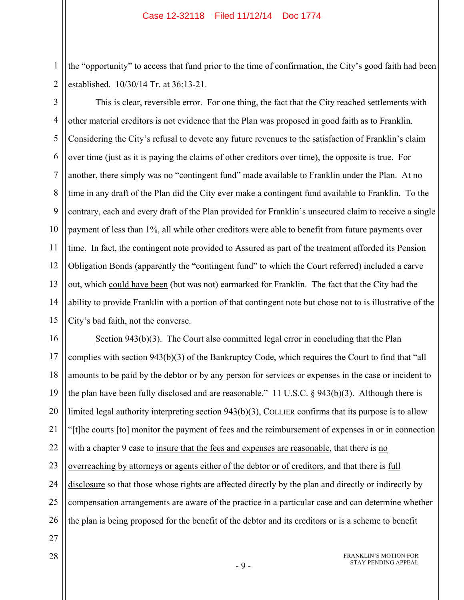the "opportunity" to access that fund prior to the time of confirmation, the City's good faith had been established. 10/30/14 Tr. at 36:13-21.

2 3

1

4 5 6 7 8 9 10 11 12 13 14 15 This is clear, reversible error. For one thing, the fact that the City reached settlements with other material creditors is not evidence that the Plan was proposed in good faith as to Franklin. Considering the City's refusal to devote any future revenues to the satisfaction of Franklin's claim over time (just as it is paying the claims of other creditors over time), the opposite is true. For another, there simply was no "contingent fund" made available to Franklin under the Plan. At no time in any draft of the Plan did the City ever make a contingent fund available to Franklin. To the contrary, each and every draft of the Plan provided for Franklin's unsecured claim to receive a single payment of less than 1%, all while other creditors were able to benefit from future payments over time. In fact, the contingent note provided to Assured as part of the treatment afforded its Pension Obligation Bonds (apparently the "contingent fund" to which the Court referred) included a carve out, which could have been (but was not) earmarked for Franklin. The fact that the City had the ability to provide Franklin with a portion of that contingent note but chose not to is illustrative of the City's bad faith, not the converse.

16 17 18 19 20 21 22 23 24 25 26 Section 943(b)(3). The Court also committed legal error in concluding that the Plan complies with section 943(b)(3) of the Bankruptcy Code, which requires the Court to find that "all amounts to be paid by the debtor or by any person for services or expenses in the case or incident to the plan have been fully disclosed and are reasonable." 11 U.S.C. § 943(b)(3). Although there is limited legal authority interpreting section 943(b)(3), COLLIER confirms that its purpose is to allow "[t]he courts [to] monitor the payment of fees and the reimbursement of expenses in or in connection with a chapter 9 case to insure that the fees and expenses are reasonable, that there is no overreaching by attorneys or agents either of the debtor or of creditors, and that there is full disclosure so that those whose rights are affected directly by the plan and directly or indirectly by compensation arrangements are aware of the practice in a particular case and can determine whether the plan is being proposed for the benefit of the debtor and its creditors or is a scheme to benefit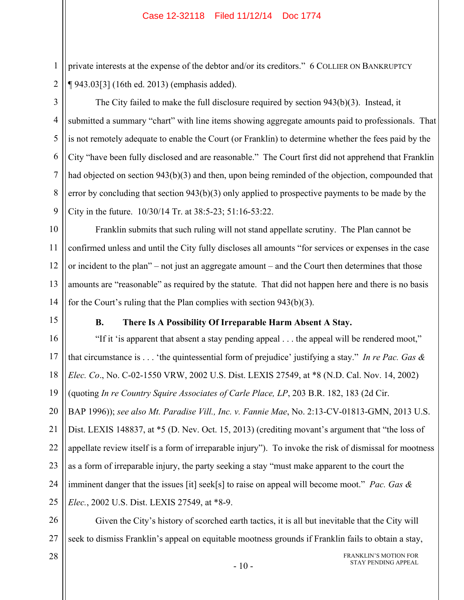private interests at the expense of the debtor and/or its creditors." 6 COLLIER ON BANKRUPTCY ¶ 943.03[3] (16th ed. 2013) (emphasis added).

2 3

4

5

6

7

8

9

1

The City failed to make the full disclosure required by section 943(b)(3). Instead, it submitted a summary "chart" with line items showing aggregate amounts paid to professionals. That is not remotely adequate to enable the Court (or Franklin) to determine whether the fees paid by the City "have been fully disclosed and are reasonable." The Court first did not apprehend that Franklin had objected on section 943(b)(3) and then, upon being reminded of the objection, compounded that error by concluding that section 943(b)(3) only applied to prospective payments to be made by the City in the future. 10/30/14 Tr. at 38:5-23; 51:16-53:22.

10 11 12 13 14 Franklin submits that such ruling will not stand appellate scrutiny. The Plan cannot be confirmed unless and until the City fully discloses all amounts "for services or expenses in the case or incident to the plan" – not just an aggregate amount – and the Court then determines that those amounts are "reasonable" as required by the statute. That did not happen here and there is no basis for the Court's ruling that the Plan complies with section 943(b)(3).

15

# **B. There Is A Possibility Of Irreparable Harm Absent A Stay.**

16 17 18 19 20 21 22 23 24 25 "If it 'is apparent that absent a stay pending appeal . . . the appeal will be rendered moot," that circumstance is . . . 'the quintessential form of prejudice' justifying a stay." *In re Pac. Gas & Elec. Co*., No. C-02-1550 VRW, 2002 U.S. Dist. LEXIS 27549, at \*8 (N.D. Cal. Nov. 14, 2002) (quoting *In re Country Squire Associates of Carle Place, LP*, 203 B.R. 182, 183 (2d Cir. BAP 1996)); *see also Mt. Paradise Vill., Inc. v. Fannie Mae*, No. 2:13-CV-01813-GMN, 2013 U.S. Dist. LEXIS 148837, at \*5 (D. Nev. Oct. 15, 2013) (crediting movant's argument that "the loss of appellate review itself is a form of irreparable injury"). To invoke the risk of dismissal for mootness as a form of irreparable injury, the party seeking a stay "must make apparent to the court the imminent danger that the issues [it] seek[s] to raise on appeal will become moot." *Pac. Gas & Elec.*, 2002 U.S. Dist. LEXIS 27549, at \*8-9.

26 27 Given the City's history of scorched earth tactics, it is all but inevitable that the City will seek to dismiss Franklin's appeal on equitable mootness grounds if Franklin fails to obtain a stay,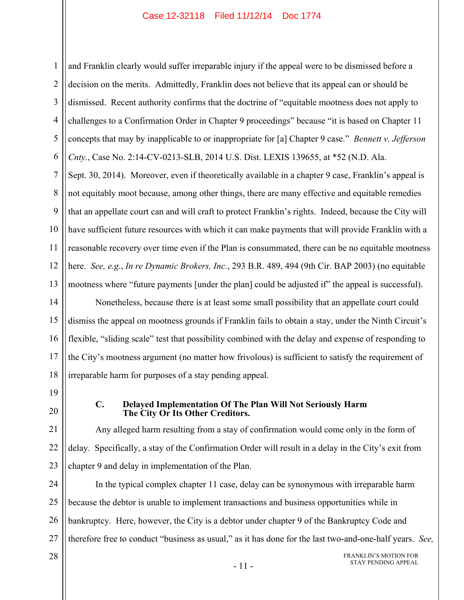1 2 3 4 5 6 and Franklin clearly would suffer irreparable injury if the appeal were to be dismissed before a decision on the merits. Admittedly, Franklin does not believe that its appeal can or should be dismissed. Recent authority confirms that the doctrine of "equitable mootness does not apply to challenges to a Confirmation Order in Chapter 9 proceedings" because "it is based on Chapter 11 concepts that may by inapplicable to or inappropriate for [a] Chapter 9 case." *Bennett v. Jefferson Cnty.*, Case No. 2:14-CV-0213-SLB, 2014 U.S. Dist. LEXIS 139655, at \*52 (N.D. Ala.

7 8 9 10 11 12 13 Sept. 30, 2014). Moreover, even if theoretically available in a chapter 9 case, Franklin's appeal is not equitably moot because, among other things, there are many effective and equitable remedies that an appellate court can and will craft to protect Franklin's rights. Indeed, because the City will have sufficient future resources with which it can make payments that will provide Franklin with a reasonable recovery over time even if the Plan is consummated, there can be no equitable mootness here. *See, e.g.*, *In re Dynamic Brokers, Inc.*, 293 B.R. 489, 494 (9th Cir. BAP 2003) (no equitable mootness where "future payments [under the plan] could be adjusted if" the appeal is successful).

14 15 16 17 18 Nonetheless, because there is at least some small possibility that an appellate court could dismiss the appeal on mootness grounds if Franklin fails to obtain a stay, under the Ninth Circuit's flexible, "sliding scale" test that possibility combined with the delay and expense of responding to the City's mootness argument (no matter how frivolous) is sufficient to satisfy the requirement of irreparable harm for purposes of a stay pending appeal.

19

20

28

### **C. Delayed Implementation Of The Plan Will Not Seriously Harm The City Or Its Other Creditors.**

21 22 23 Any alleged harm resulting from a stay of confirmation would come only in the form of delay. Specifically, a stay of the Confirmation Order will result in a delay in the City's exit from chapter 9 and delay in implementation of the Plan.

24 25 26 27 In the typical complex chapter 11 case, delay can be synonymous with irreparable harm because the debtor is unable to implement transactions and business opportunities while in bankruptcy. Here, however, the City is a debtor under chapter 9 of the Bankruptcy Code and therefore free to conduct "business as usual," as it has done for the last two-and-one-half years. *See,* 

> FRANKLIN'S MOTION FOR STAY PENDING APPEAL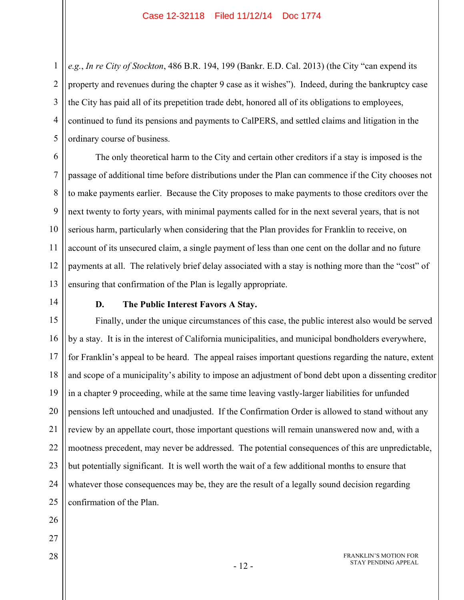*e.g.*, *In re City of Stockton*, 486 B.R. 194, 199 (Bankr. E.D. Cal. 2013) (the City "can expend its property and revenues during the chapter 9 case as it wishes"). Indeed, during the bankruptcy case the City has paid all of its prepetition trade debt, honored all of its obligations to employees, continued to fund its pensions and payments to CalPERS, and settled claims and litigation in the ordinary course of business.

6 7 8 9 10 11 12 13 The only theoretical harm to the City and certain other creditors if a stay is imposed is the passage of additional time before distributions under the Plan can commence if the City chooses not to make payments earlier. Because the City proposes to make payments to those creditors over the next twenty to forty years, with minimal payments called for in the next several years, that is not serious harm, particularly when considering that the Plan provides for Franklin to receive, on account of its unsecured claim, a single payment of less than one cent on the dollar and no future payments at all. The relatively brief delay associated with a stay is nothing more than the "cost" of ensuring that confirmation of the Plan is legally appropriate.

14

1

2

3

4

5

# **D. The Public Interest Favors A Stay.**

15 16 17 18 19 20 21 22 23 24 25 Finally, under the unique circumstances of this case, the public interest also would be served by a stay. It is in the interest of California municipalities, and municipal bondholders everywhere, for Franklin's appeal to be heard. The appeal raises important questions regarding the nature, extent and scope of a municipality's ability to impose an adjustment of bond debt upon a dissenting creditor in a chapter 9 proceeding, while at the same time leaving vastly-larger liabilities for unfunded pensions left untouched and unadjusted. If the Confirmation Order is allowed to stand without any review by an appellate court, those important questions will remain unanswered now and, with a mootness precedent, may never be addressed. The potential consequences of this are unpredictable, but potentially significant. It is well worth the wait of a few additional months to ensure that whatever those consequences may be, they are the result of a legally sound decision regarding confirmation of the Plan.

- 26
- 27
- 28